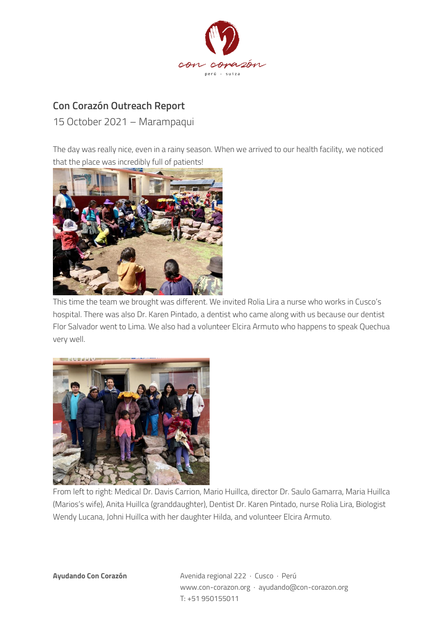

## **Con Corazón Outreach Report**

15 October 2021 – Marampaqui

The day was really nice, even in a rainy season. When we arrived to our health facility, we noticed that the place was incredibly full of patients!



This time the team we brought was different. We invited Rolia Lira a nurse who works in Cusco's hospital. There was also Dr. Karen Pintado, a dentist who came along with us because our dentist Flor Salvador went to Lima. We also had a volunteer Elcira Armuto who happens to speak Quechua very well.



From left to right: Medical Dr. Davis Carrion, Mario Huillca, director Dr. Saulo Gamarra, Maria Huillca (Marios's wife), Anita Huillca (granddaughter), Dentist Dr. Karen Pintado, nurse Rolia Lira, Biologist Wendy Lucana, Johni Huillca with her daughter Hilda, and volunteer Elcira Armuto.

**Ayudando Con Corazón** Avenida regional 222 · Cusco · Perú www.con-corazon.org · ayudando@con-corazon.org T: +51 950155011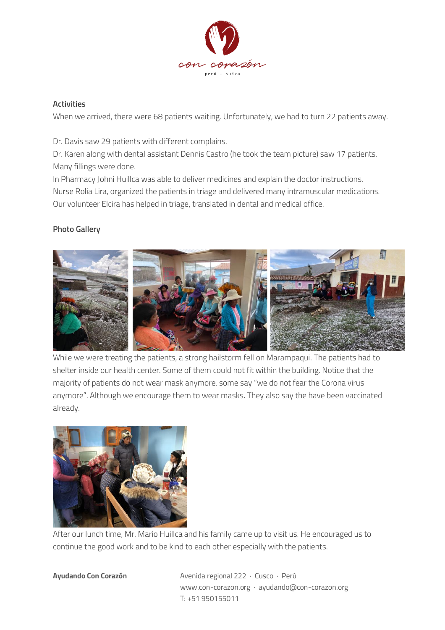

## **Activities**

When we arrived, there were 68 patients waiting. Unfortunately, we had to turn 22 patients away.

Dr. Davis saw 29 patients with different complains.

Dr. Karen along with dental assistant Dennis Castro (he took the team picture) saw 17 patients. Many fillings were done.

In Pharmacy Johni Huillca was able to deliver medicines and explain the doctor instructions.

Nurse Rolia Lira, organized the patients in triage and delivered many intramuscular medications. Our volunteer Elcira has helped in triage, translated in dental and medical office.

## **Photo Gallery**



While we were treating the patients, a strong hailstorm fell on Marampaqui. The patients had to shelter inside our health center. Some of them could not fit within the building. Notice that the majority of patients do not wear mask anymore. some say "we do not fear the Corona virus anymore". Although we encourage them to wear masks. They also say the have been vaccinated already.



After our lunch time, Mr. Mario Huillca and his family came up to visit us. He encouraged us to continue the good work and to be kind to each other especially with the patients.

**Ayudando Con Corazón** Avenida regional 222 · Cusco · Perú www.con-corazon.org · ayudando@con-corazon.org T: +51 950155011